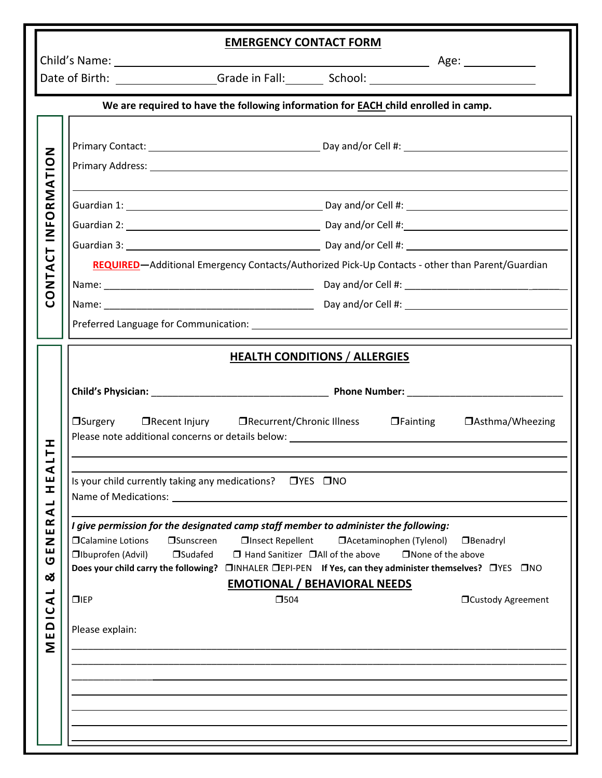| <b>EMERGENCY CONTACT FORM</b>                                                             |                                                                                                                |                                                                                                                                                                                                                                                                                                                                                                                                                                                                                                                                                                                                                                |  |
|-------------------------------------------------------------------------------------------|----------------------------------------------------------------------------------------------------------------|--------------------------------------------------------------------------------------------------------------------------------------------------------------------------------------------------------------------------------------------------------------------------------------------------------------------------------------------------------------------------------------------------------------------------------------------------------------------------------------------------------------------------------------------------------------------------------------------------------------------------------|--|
|                                                                                           |                                                                                                                |                                                                                                                                                                                                                                                                                                                                                                                                                                                                                                                                                                                                                                |  |
| We are required to have the following information for <b>EACH</b> child enrolled in camp. |                                                                                                                |                                                                                                                                                                                                                                                                                                                                                                                                                                                                                                                                                                                                                                |  |
| INFORMATION<br>$\overline{C}$<br>CONTA                                                    |                                                                                                                |                                                                                                                                                                                                                                                                                                                                                                                                                                                                                                                                                                                                                                |  |
|                                                                                           |                                                                                                                |                                                                                                                                                                                                                                                                                                                                                                                                                                                                                                                                                                                                                                |  |
|                                                                                           |                                                                                                                |                                                                                                                                                                                                                                                                                                                                                                                                                                                                                                                                                                                                                                |  |
|                                                                                           |                                                                                                                | REQUIRED-Additional Emergency Contacts/Authorized Pick-Up Contacts - other than Parent/Guardian                                                                                                                                                                                                                                                                                                                                                                                                                                                                                                                                |  |
|                                                                                           |                                                                                                                |                                                                                                                                                                                                                                                                                                                                                                                                                                                                                                                                                                                                                                |  |
|                                                                                           |                                                                                                                |                                                                                                                                                                                                                                                                                                                                                                                                                                                                                                                                                                                                                                |  |
|                                                                                           |                                                                                                                |                                                                                                                                                                                                                                                                                                                                                                                                                                                                                                                                                                                                                                |  |
| I<br>⋖<br>ш<br>H<br>$\blacktriangleleft$<br>ER<br>Z<br>Щ<br>U<br>త<br>┙<br>⋖<br>MEDIC     | □ Calamine Lotions<br><b>Sunscreen</b><br><b>Ibuprofen (Advil)</b><br>□Sudafed<br>$\Pi$ IEP<br>Please explain: | <b>HEALTH CONDITIONS / ALLERGIES</b><br>□Surgery □Recent Injury □Recurrent/Chronic Illness □Fainting □Asthma/Wheezing<br>Is your child currently taking any medications? □ YES □ NO<br>I give permission for the designated camp staff member to administer the following:<br>□Insect Repellent<br>□ Acetaminophen (Tylenol)<br><b>O</b> Benadryl<br>$\Box$ Hand Sanitizer $\Box$ All of the above<br>$\Box$ None of the above<br>Does your child carry the following? DINHALER DEPI-PEN If Yes, can they administer themselves? DYES ONO<br><b>EMOTIONAL / BEHAVIORAL NEEDS</b><br>$\square$ 504<br><b>OCustody Agreement</b> |  |
|                                                                                           |                                                                                                                |                                                                                                                                                                                                                                                                                                                                                                                                                                                                                                                                                                                                                                |  |